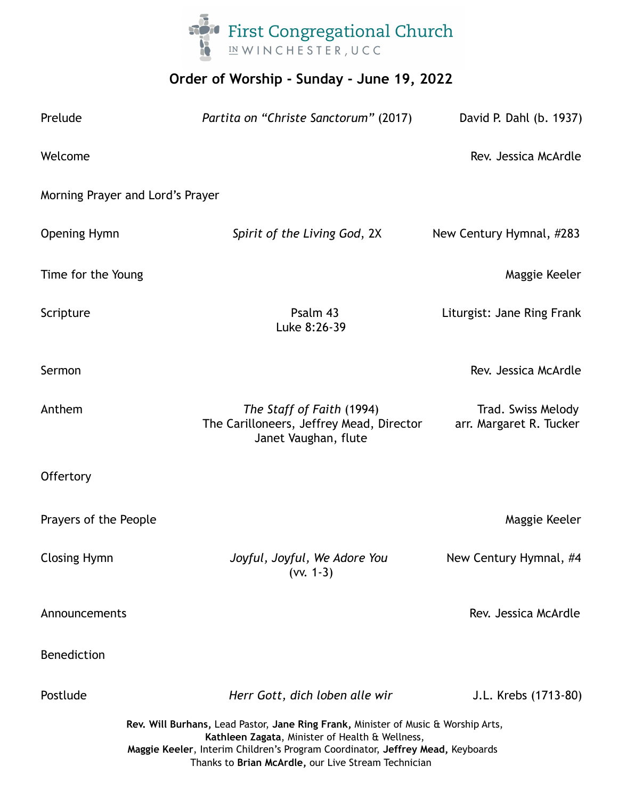

# **Order of Worship - Sunday - June 19, 2022**

| Prelude                                                                                                                                                                                                                                                                        | Partita on "Christe Sanctorum" (2017)                                                         | David P. Dahl (b. 1937)                       |
|--------------------------------------------------------------------------------------------------------------------------------------------------------------------------------------------------------------------------------------------------------------------------------|-----------------------------------------------------------------------------------------------|-----------------------------------------------|
| Welcome                                                                                                                                                                                                                                                                        |                                                                                               | Rev. Jessica McArdle                          |
| Morning Prayer and Lord's Prayer                                                                                                                                                                                                                                               |                                                                                               |                                               |
| <b>Opening Hymn</b>                                                                                                                                                                                                                                                            | Spirit of the Living God, 2X                                                                  | New Century Hymnal, #283                      |
| Time for the Young                                                                                                                                                                                                                                                             |                                                                                               | Maggie Keeler                                 |
| Scripture                                                                                                                                                                                                                                                                      | Psalm 43<br>Luke 8:26-39                                                                      | Liturgist: Jane Ring Frank                    |
| Sermon                                                                                                                                                                                                                                                                         |                                                                                               | Rev. Jessica McArdle                          |
| Anthem                                                                                                                                                                                                                                                                         | The Staff of Faith (1994)<br>The Carilloneers, Jeffrey Mead, Director<br>Janet Vaughan, flute | Trad. Swiss Melody<br>arr. Margaret R. Tucker |
| Offertory                                                                                                                                                                                                                                                                      |                                                                                               |                                               |
| Prayers of the People                                                                                                                                                                                                                                                          |                                                                                               | Maggie Keeler                                 |
| <b>Closing Hymn</b>                                                                                                                                                                                                                                                            | Joyful, Joyful, We Adore You<br>$(vv. 1-3)$                                                   | New Century Hymnal, #4                        |
| Announcements                                                                                                                                                                                                                                                                  |                                                                                               | Rev. Jessica McArdle                          |
| <b>Benediction</b>                                                                                                                                                                                                                                                             |                                                                                               |                                               |
| Postlude                                                                                                                                                                                                                                                                       | Herr Gott, dich loben alle wir                                                                | J.L. Krebs (1713-80)                          |
| Rev. Will Burhans, Lead Pastor, Jane Ring Frank, Minister of Music & Worship Arts,<br>Kathleen Zagata, Minister of Health & Wellness,<br>Maggie Keeler, Interim Children's Program Coordinator, Jeffrey Mead, Keyboards<br>Thanks to Brian McArdle, our Live Stream Technician |                                                                                               |                                               |